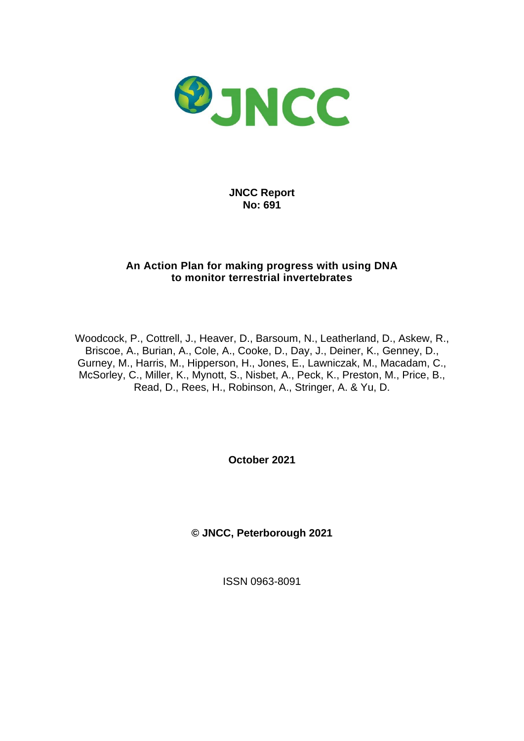

**JNCC Report No: 691**

### **An Action Plan for making progress with using DNA to monitor terrestrial invertebrates**

Woodcock, P., Cottrell, J., Heaver, D., Barsoum, N., Leatherland, D., Askew, R., Briscoe, A., Burian, A., Cole, A., Cooke, D., Day, J., Deiner, K., Genney, D., Gurney, M., Harris, M., Hipperson, H., Jones, E., Lawniczak, M., Macadam, C., McSorley, C., Miller, K., Mynott, S., Nisbet, A., Peck, K., Preston, M., Price, B., Read, D., Rees, H., Robinson, A., Stringer, A. & Yu, D.

**October 2021**

**© JNCC, Peterborough 2021**

ISSN 0963-8091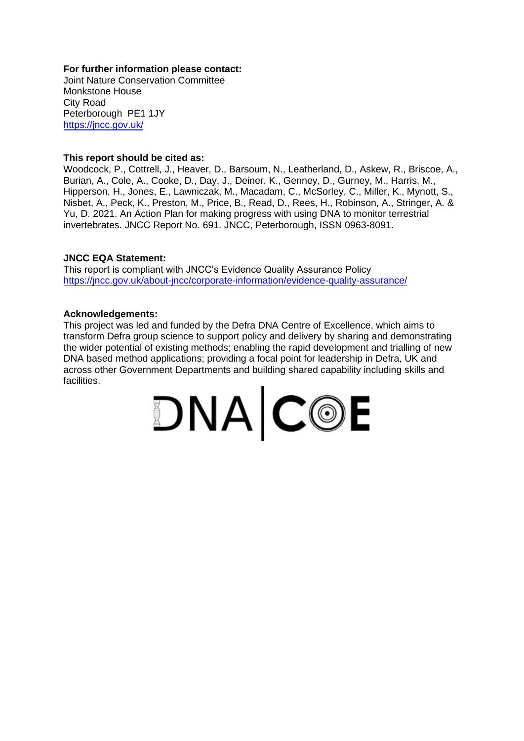#### **For further information please contact:**

Joint Nature Conservation Committee Monkstone House City Road Peterborough PE1 1JY <https://jncc.gov.uk/>

#### **This report should be cited as:**

Woodcock, P., Cottrell, J., Heaver, D., Barsoum, N., Leatherland, D., Askew, R., Briscoe, A., Burian, A., Cole, A., Cooke, D., Day, J., Deiner, K., Genney, D., Gurney, M., Harris, M., Hipperson, H., Jones, E., Lawniczak, M., Macadam, C., McSorley, C., Miller, K., Mynott, S., Nisbet, A., Peck, K., Preston, M., Price, B., Read, D., Rees, H., Robinson, A., Stringer, A. & Yu, D. 2021. An Action Plan for making progress with using DNA to monitor terrestrial invertebrates. JNCC Report No. 691. JNCC, Peterborough, ISSN 0963-8091.

#### **JNCC EQA Statement:**

This report is compliant with JNCC's Evidence Quality Assurance Policy <https://jncc.gov.uk/about-jncc/corporate-information/evidence-quality-assurance/>

#### **Acknowledgements:**

This project was led and funded by the Defra DNA Centre of Excellence, which aims to transform Defra group science to support policy and delivery by sharing and demonstrating the wider potential of existing methods; enabling the rapid development and trialling of new DNA based method applications; providing a focal point for leadership in Defra, UK and across other Government Departments and building shared capability including skills and facilities.

$$
\mathbf{DNA}|\mathbf{C@E}
$$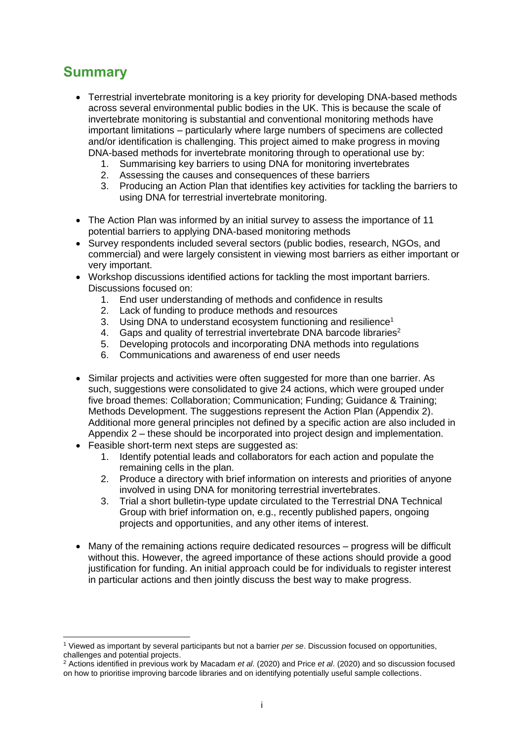# <span id="page-2-0"></span>**Summary**

- Terrestrial invertebrate monitoring is a key priority for developing DNA-based methods across several environmental public bodies in the UK. This is because the scale of invertebrate monitoring is substantial and conventional monitoring methods have important limitations – particularly where large numbers of specimens are collected and/or identification is challenging. This project aimed to make progress in moving DNA-based methods for invertebrate monitoring through to operational use by:
	- 1. Summarising key barriers to using DNA for monitoring invertebrates
	- 2. Assessing the causes and consequences of these barriers
	- 3. Producing an Action Plan that identifies key activities for tackling the barriers to using DNA for terrestrial invertebrate monitoring.
- The Action Plan was informed by an initial survey to assess the importance of 11 potential barriers to applying DNA-based monitoring methods
- Survey respondents included several sectors (public bodies, research, NGOs, and commercial) and were largely consistent in viewing most barriers as either important or very important.
- Workshop discussions identified actions for tackling the most important barriers. Discussions focused on:
	- 1. End user understanding of methods and confidence in results
	- 2. Lack of funding to produce methods and resources
	- 3. Using DNA to understand ecosystem functioning and resilience<sup>1</sup>
	- 4. Gaps and quality of terrestrial invertebrate DNA barcode libraries<sup>2</sup>
	- 5. Developing protocols and incorporating DNA methods into regulations
	- 6. Communications and awareness of end user needs
- Similar projects and activities were often suggested for more than one barrier. As such, suggestions were consolidated to give 24 actions, which were grouped under five broad themes: Collaboration; Communication; Funding; Guidance & Training; Methods Development. The suggestions represent the Action Plan (Appendix 2). Additional more general principles not defined by a specific action are also included in Appendix 2 – these should be incorporated into project design and implementation.
- Feasible short-term next steps are suggested as:
	- 1. Identify potential leads and collaborators for each action and populate the remaining cells in the plan.
	- 2. Produce a directory with brief information on interests and priorities of anyone involved in using DNA for monitoring terrestrial invertebrates.
	- 3. Trial a short bulletin-type update circulated to the Terrestrial DNA Technical Group with brief information on, e.g., recently published papers, ongoing projects and opportunities, and any other items of interest.
- Many of the remaining actions require dedicated resources progress will be difficult without this. However, the agreed importance of these actions should provide a good justification for funding. An initial approach could be for individuals to register interest in particular actions and then jointly discuss the best way to make progress.

<sup>1</sup> Viewed as important by several participants but not a barrier *per se*. Discussion focused on opportunities, challenges and potential projects.

<sup>2</sup> Actions identified in previous work by Macadam *et al*. (2020) and Price *et al*. (2020) and so discussion focused on how to prioritise improving barcode libraries and on identifying potentially useful sample collections.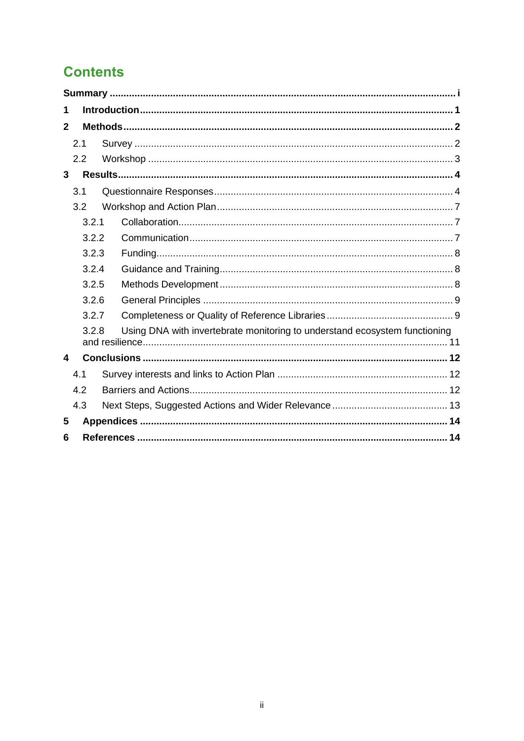# **Contents**

| 1              |       |                                                                            |  |  |  |  |  |
|----------------|-------|----------------------------------------------------------------------------|--|--|--|--|--|
| $\mathbf{2}$   |       |                                                                            |  |  |  |  |  |
|                | 2.1   |                                                                            |  |  |  |  |  |
|                | 2.2   |                                                                            |  |  |  |  |  |
| 3              |       |                                                                            |  |  |  |  |  |
|                | 3.1   |                                                                            |  |  |  |  |  |
|                | 3.2   |                                                                            |  |  |  |  |  |
|                | 3.2.1 |                                                                            |  |  |  |  |  |
|                | 3.2.2 |                                                                            |  |  |  |  |  |
|                | 3.2.3 |                                                                            |  |  |  |  |  |
| 3.2.4<br>3.2.5 |       |                                                                            |  |  |  |  |  |
|                |       |                                                                            |  |  |  |  |  |
|                | 3.2.6 |                                                                            |  |  |  |  |  |
|                | 3.2.7 |                                                                            |  |  |  |  |  |
|                | 3.2.8 | Using DNA with invertebrate monitoring to understand ecosystem functioning |  |  |  |  |  |
| 4              |       |                                                                            |  |  |  |  |  |
|                | 4.1   |                                                                            |  |  |  |  |  |
|                | 4.2   |                                                                            |  |  |  |  |  |
|                | 4.3   |                                                                            |  |  |  |  |  |
| 5              |       |                                                                            |  |  |  |  |  |
| 6              |       |                                                                            |  |  |  |  |  |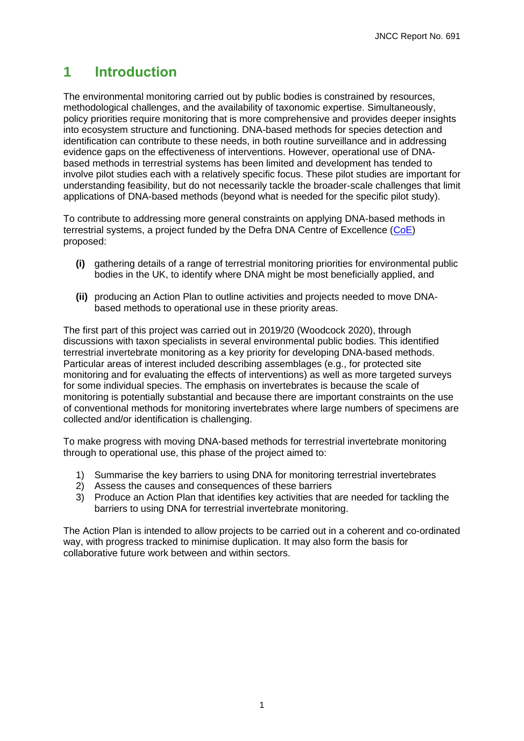# <span id="page-4-0"></span>**1 Introduction**

The environmental monitoring carried out by public bodies is constrained by resources, methodological challenges, and the availability of taxonomic expertise. Simultaneously, policy priorities require monitoring that is more comprehensive and provides deeper insights into ecosystem structure and functioning. DNA-based methods for species detection and identification can contribute to these needs, in both routine surveillance and in addressing evidence gaps on the effectiveness of interventions. However, operational use of DNAbased methods in terrestrial systems has been limited and development has tended to involve pilot studies each with a relatively specific focus. These pilot studies are important for understanding feasibility, but do not necessarily tackle the broader-scale challenges that limit applications of DNA-based methods (beyond what is needed for the specific pilot study).

To contribute to addressing more general constraints on applying DNA-based methods in terrestrial systems, a project funded by the Defra DNA Centre of Excellence [\(CoE\)](https://jncc.gov.uk/our-work/dna-coe/) proposed:

- **(i)** gathering details of a range of terrestrial monitoring priorities for environmental public bodies in the UK, to identify where DNA might be most beneficially applied, and
- **(ii)** producing an Action Plan to outline activities and projects needed to move DNAbased methods to operational use in these priority areas.

The first part of this project was carried out in 2019/20 (Woodcock 2020), through discussions with taxon specialists in several environmental public bodies. This identified terrestrial invertebrate monitoring as a key priority for developing DNA-based methods. Particular areas of interest included describing assemblages (e.g., for protected site monitoring and for evaluating the effects of interventions) as well as more targeted surveys for some individual species. The emphasis on invertebrates is because the scale of monitoring is potentially substantial and because there are important constraints on the use of conventional methods for monitoring invertebrates where large numbers of specimens are collected and/or identification is challenging.

To make progress with moving DNA-based methods for terrestrial invertebrate monitoring through to operational use, this phase of the project aimed to:

- 1) Summarise the key barriers to using DNA for monitoring terrestrial invertebrates
- 2) Assess the causes and consequences of these barriers
- 3) Produce an Action Plan that identifies key activities that are needed for tackling the barriers to using DNA for terrestrial invertebrate monitoring.

The Action Plan is intended to allow projects to be carried out in a coherent and co-ordinated way, with progress tracked to minimise duplication. It may also form the basis for collaborative future work between and within sectors.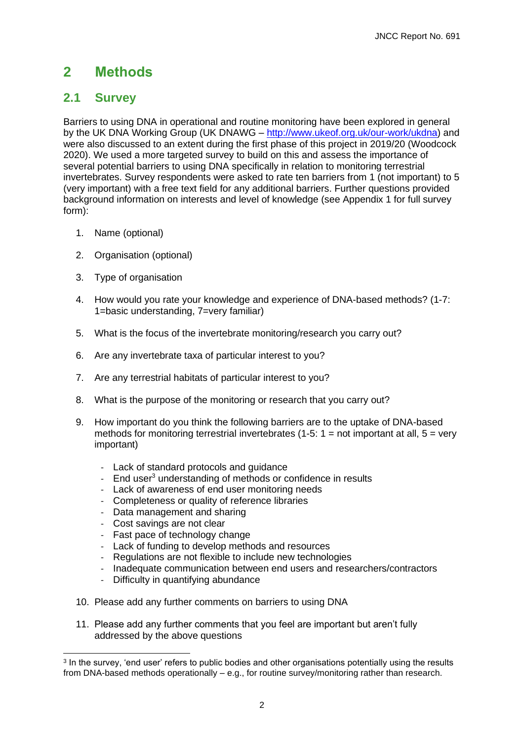# <span id="page-5-0"></span>**2 Methods**

## <span id="page-5-1"></span>**2.1 Survey**

Barriers to using DNA in operational and routine monitoring have been explored in general by the UK DNA Working Group (UK DNAWG – [http://www.ukeof.org.uk/our-work/ukdna\)](http://www.ukeof.org.uk/our-work/ukdna) and were also discussed to an extent during the first phase of this project in 2019/20 (Woodcock 2020). We used a more targeted survey to build on this and assess the importance of several potential barriers to using DNA specifically in relation to monitoring terrestrial invertebrates. Survey respondents were asked to rate ten barriers from 1 (not important) to 5 (very important) with a free text field for any additional barriers. Further questions provided background information on interests and level of knowledge (see Appendix 1 for full survey form):

- 1. Name (optional)
- 2. Organisation (optional)
- 3. Type of organisation
- 4. How would you rate your knowledge and experience of DNA-based methods? (1-7: 1=basic understanding, 7=very familiar)
- 5. What is the focus of the invertebrate monitoring/research you carry out?
- 6. Are any invertebrate taxa of particular interest to you?
- 7. Are any terrestrial habitats of particular interest to you?
- 8. What is the purpose of the monitoring or research that you carry out?
- 9. How important do you think the following barriers are to the uptake of DNA-based methods for monitoring terrestrial invertebrates (1-5:  $1 =$  not important at all,  $5 =$  very important)
	- Lack of standard protocols and guidance
	- End user<sup>3</sup> understanding of methods or confidence in results
	- Lack of awareness of end user monitoring needs
	- Completeness or quality of reference libraries
	- Data management and sharing
	- Cost savings are not clear
	- Fast pace of technology change
	- Lack of funding to develop methods and resources
	- Regulations are not flexible to include new technologies
	- Inadequate communication between end users and researchers/contractors
	- Difficulty in quantifying abundance
- 10. Please add any further comments on barriers to using DNA
- 11. Please add any further comments that you feel are important but aren't fully addressed by the above questions

<sup>&</sup>lt;sup>3</sup> In the survey, 'end user' refers to public bodies and other organisations potentially using the results from DNA-based methods operationally – e.g., for routine survey/monitoring rather than research.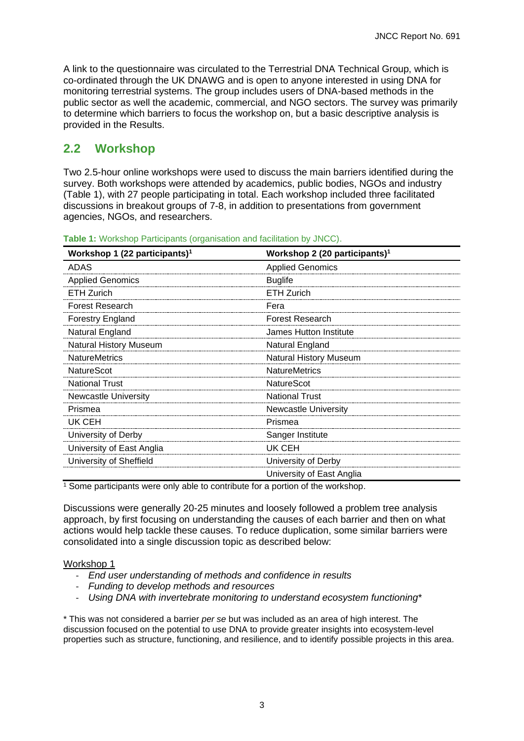A link to the questionnaire was circulated to the Terrestrial DNA Technical Group, which is co-ordinated through the UK DNAWG and is open to anyone interested in using DNA for monitoring terrestrial systems. The group includes users of DNA-based methods in the public sector as well the academic, commercial, and NGO sectors. The survey was primarily to determine which barriers to focus the workshop on, but a basic descriptive analysis is provided in the Results.

## <span id="page-6-0"></span>**2.2 Workshop**

Two 2.5-hour online workshops were used to discuss the main barriers identified during the survey. Both workshops were attended by academics, public bodies, NGOs and industry (Table 1), with 27 people participating in total. Each workshop included three facilitated discussions in breakout groups of 7-8, in addition to presentations from government agencies, NGOs, and researchers.

| Workshop 1 (22 participants) <sup>1</sup> | Workshop 2 (20 participants) <sup>1</sup> |  |  |
|-------------------------------------------|-------------------------------------------|--|--|
| ADAS                                      | <b>Applied Genomics</b>                   |  |  |
| <b>Applied Genomics</b>                   | <b>Buglife</b>                            |  |  |
| <b>ETH Zurich</b>                         | <b>ETH Zurich</b>                         |  |  |
| <b>Forest Research</b>                    | Fera                                      |  |  |
| <b>Forestry England</b>                   | <b>Forest Research</b>                    |  |  |
| Natural England                           | James Hutton Institute                    |  |  |
| <b>Natural History Museum</b>             | Natural England                           |  |  |
| <b>NatureMetrics</b>                      | <b>Natural History Museum</b>             |  |  |
| <b>NatureScot</b>                         | <b>NatureMetrics</b>                      |  |  |
| <b>National Trust</b>                     | <b>NatureScot</b>                         |  |  |
| <b>Newcastle University</b>               | <b>National Trust</b>                     |  |  |
| Prismea                                   | <b>Newcastle University</b>               |  |  |
| UK CEH                                    | Prismea                                   |  |  |
| University of Derby                       | Sanger Institute                          |  |  |
| University of East Anglia                 | UK CEH                                    |  |  |
| University of Sheffield                   | University of Derby                       |  |  |
|                                           | University of East Anglia                 |  |  |

**Table 1:** Workshop Participants (organisation and facilitation by JNCC).

<sup>1</sup> Some participants were only able to contribute for a portion of the workshop.

Discussions were generally 20-25 minutes and loosely followed a problem tree analysis approach, by first focusing on understanding the causes of each barrier and then on what actions would help tackle these causes. To reduce duplication, some similar barriers were consolidated into a single discussion topic as described below:

#### Workshop 1

- *End user understanding of methods and confidence in results*
- *Funding to develop methods and resources*
- Using DNA with invertebrate monitoring to understand ecosystem functioning<sup>\*</sup>

\* This was not considered a barrier *per se* but was included as an area of high interest. The discussion focused on the potential to use DNA to provide greater insights into ecosystem-level properties such as structure, functioning, and resilience, and to identify possible projects in this area.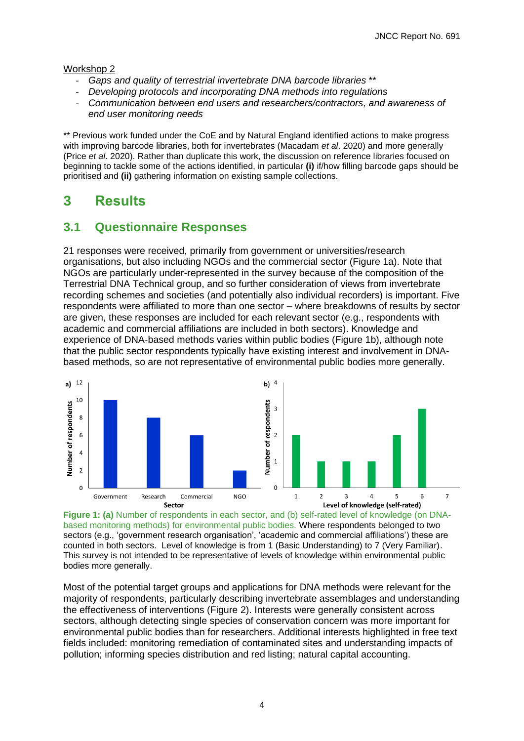#### Workshop 2

- *Gaps and quality of terrestrial invertebrate DNA barcode libraries* \*\*
- *Developing protocols and incorporating DNA methods into regulations*
- *Communication between end users and researchers/contractors, and awareness of end user monitoring needs*

\*\* Previous work funded under the CoE and by Natural England identified actions to make progress with improving barcode libraries, both for invertebrates (Macadam *et al*. 2020) and more generally (Price *et al*. 2020). Rather than duplicate this work, the discussion on reference libraries focused on beginning to tackle some of the actions identified, in particular **(i)** if/how filling barcode gaps should be prioritised and **(ii)** gathering information on existing sample collections.

# <span id="page-7-0"></span>**3 Results**

## <span id="page-7-1"></span>**3.1 Questionnaire Responses**

21 responses were received, primarily from government or universities/research organisations, but also including NGOs and the commercial sector (Figure 1a). Note that NGOs are particularly under-represented in the survey because of the composition of the Terrestrial DNA Technical group, and so further consideration of views from invertebrate recording schemes and societies (and potentially also individual recorders) is important. Five respondents were affiliated to more than one sector – where breakdowns of results by sector are given, these responses are included for each relevant sector (e.g., respondents with academic and commercial affiliations are included in both sectors). Knowledge and experience of DNA-based methods varies within public bodies (Figure 1b), although note that the public sector respondents typically have existing interest and involvement in DNAbased methods, so are not representative of environmental public bodies more generally.



**Figure 1: (a)** Number of respondents in each sector, and (b) self-rated level of knowledge (on DNAbased monitoring methods) for environmental public bodies. Where respondents belonged to two sectors (e.g., 'government research organisation', 'academic and commercial affiliations') these are counted in both sectors. Level of knowledge is from 1 (Basic Understanding) to 7 (Very Familiar). This survey is not intended to be representative of levels of knowledge within environmental public bodies more generally.

Most of the potential target groups and applications for DNA methods were relevant for the majority of respondents, particularly describing invertebrate assemblages and understanding the effectiveness of interventions (Figure 2). Interests were generally consistent across sectors, although detecting single species of conservation concern was more important for environmental public bodies than for researchers. Additional interests highlighted in free text fields included: monitoring remediation of contaminated sites and understanding impacts of pollution; informing species distribution and red listing; natural capital accounting.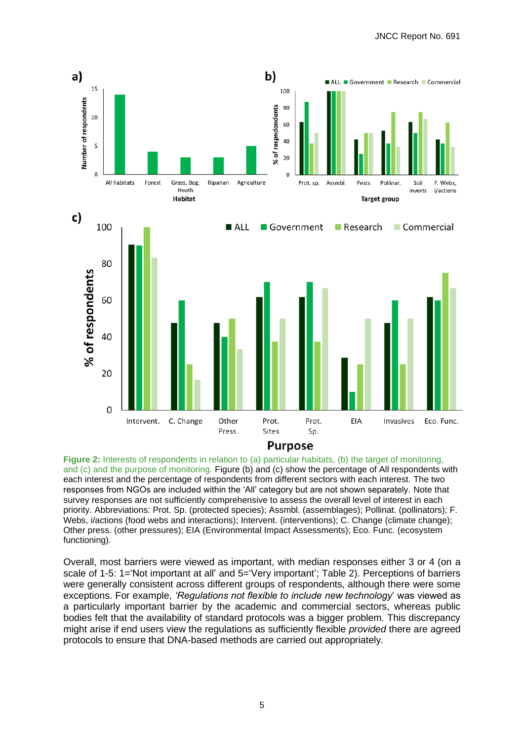

**Figure 2:** Interests of respondents in relation to (a) particular habitats, (b) the target of monitoring, and (c) and the purpose of monitoring. Figure (b) and (c) show the percentage of All respondents with each interest and the percentage of respondents from different sectors with each interest. The two responses from NGOs are included within the 'All' category but are not shown separately. Note that survey responses are not sufficiently comprehensive to assess the overall level of interest in each priority. Abbreviations: Prot. Sp. (protected species); Assmbl. (assemblages); Pollinat. (pollinators); F. Webs, i/actions (food webs and interactions); Intervent. (interventions); C. Change (climate change); Other press. (other pressures); EIA (Environmental Impact Assessments); Eco. Func. (ecosystem functioning).

Overall, most barriers were viewed as important, with median responses either 3 or 4 (on a scale of 1-5: 1='Not important at all' and 5='Very important'; Table 2). Perceptions of barriers were generally consistent across different groups of respondents, although there were some exceptions. For example, *'Regulations not flexible to include new technology*' was viewed as a particularly important barrier by the academic and commercial sectors, whereas public bodies felt that the availability of standard protocols was a bigger problem. This discrepancy might arise if end users view the regulations as sufficiently flexible *provided* there are agreed protocols to ensure that DNA-based methods are carried out appropriately.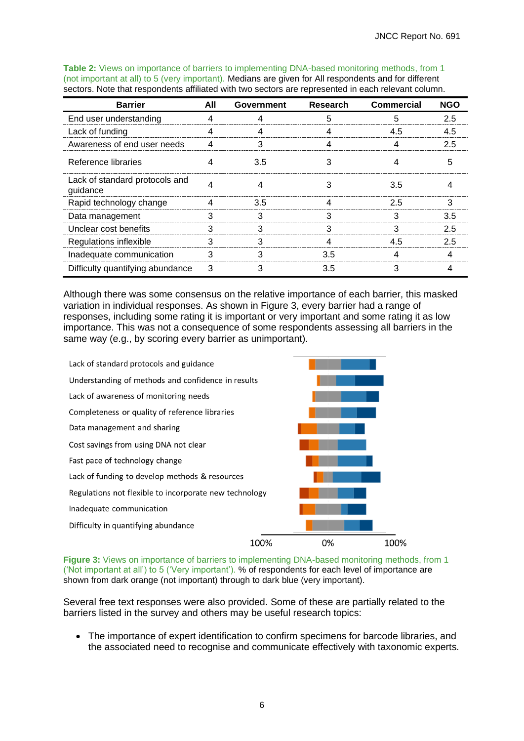| <b>Barrier</b>                             | All | <b>Government</b> | <b>Research</b> | <b>Commercial</b> | <b>NGO</b> |
|--------------------------------------------|-----|-------------------|-----------------|-------------------|------------|
| End user understanding                     |     |                   |                 |                   | 2.5        |
| Lack of funding                            |     |                   |                 | 4.5               | 4.5        |
| Awareness of end user needs                | 4   | 3                 |                 |                   | 2.5        |
| Reference libraries                        |     | 3.5               |                 |                   |            |
| Lack of standard protocols and<br>guidance |     |                   |                 | 3.5               |            |
| Rapid technology change                    | 4   | 3.5               |                 | 2.5               | З          |
| Data management                            |     |                   |                 |                   | 3.5        |
| Unclear cost benefits                      | ٩   | ว                 |                 | З                 | 25         |
| Regulations inflexible                     | з   |                   |                 | 4.5               | 2.5        |
| Inadequate communication                   |     |                   | 3.5             |                   |            |
| Difficulty quantifying abundance           | 3   |                   | 3.5             |                   |            |

**Table 2:** Views on importance of barriers to implementing DNA-based monitoring methods, from 1 (not important at all) to 5 (very important). Medians are given for All respondents and for different sectors. Note that respondents affiliated with two sectors are represented in each relevant column.

Although there was some consensus on the relative importance of each barrier, this masked variation in individual responses. As shown in Figure 3, every barrier had a range of responses, including some rating it is important or very important and some rating it as low importance. This was not a consequence of some respondents assessing all barriers in the same way (e.g., by scoring every barrier as unimportant).



**Figure 3:** Views on importance of barriers to implementing DNA-based monitoring methods, from 1 ('Not important at all') to 5 ('Very important'). % of respondents for each level of importance are shown from dark orange (not important) through to dark blue (very important).

Several free text responses were also provided. Some of these are partially related to the barriers listed in the survey and others may be useful research topics:

• The importance of expert identification to confirm specimens for barcode libraries, and the associated need to recognise and communicate effectively with taxonomic experts.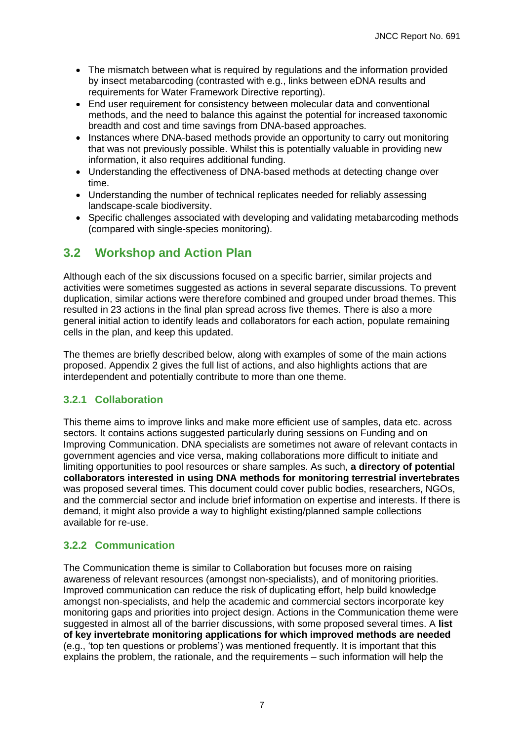- The mismatch between what is required by regulations and the information provided by insect metabarcoding (contrasted with e.g., links between eDNA results and requirements for Water Framework Directive reporting).
- End user requirement for consistency between molecular data and conventional methods, and the need to balance this against the potential for increased taxonomic breadth and cost and time savings from DNA-based approaches.
- Instances where DNA-based methods provide an opportunity to carry out monitoring that was not previously possible. Whilst this is potentially valuable in providing new information, it also requires additional funding.
- Understanding the effectiveness of DNA-based methods at detecting change over time.
- Understanding the number of technical replicates needed for reliably assessing landscape-scale biodiversity.
- Specific challenges associated with developing and validating metabarcoding methods (compared with single-species monitoring).

## <span id="page-10-0"></span>**3.2 Workshop and Action Plan**

Although each of the six discussions focused on a specific barrier, similar projects and activities were sometimes suggested as actions in several separate discussions. To prevent duplication, similar actions were therefore combined and grouped under broad themes. This resulted in 23 actions in the final plan spread across five themes. There is also a more general initial action to identify leads and collaborators for each action, populate remaining cells in the plan, and keep this updated.

The themes are briefly described below, along with examples of some of the main actions proposed. Appendix 2 gives the full list of actions, and also highlights actions that are interdependent and potentially contribute to more than one theme.

## <span id="page-10-1"></span>**3.2.1 Collaboration**

This theme aims to improve links and make more efficient use of samples, data etc. across sectors. It contains actions suggested particularly during sessions on Funding and on Improving Communication. DNA specialists are sometimes not aware of relevant contacts in government agencies and vice versa, making collaborations more difficult to initiate and limiting opportunities to pool resources or share samples. As such, **a directory of potential collaborators interested in using DNA methods for monitoring terrestrial invertebrates** was proposed several times. This document could cover public bodies, researchers, NGOs, and the commercial sector and include brief information on expertise and interests. If there is demand, it might also provide a way to highlight existing/planned sample collections available for re-use.

## <span id="page-10-2"></span>**3.2.2 Communication**

The Communication theme is similar to Collaboration but focuses more on raising awareness of relevant resources (amongst non-specialists), and of monitoring priorities. Improved communication can reduce the risk of duplicating effort, help build knowledge amongst non-specialists, and help the academic and commercial sectors incorporate key monitoring gaps and priorities into project design. Actions in the Communication theme were suggested in almost all of the barrier discussions, with some proposed several times. A **list of key invertebrate monitoring applications for which improved methods are needed**  (e.g., 'top ten questions or problems') was mentioned frequently. It is important that this explains the problem, the rationale, and the requirements – such information will help the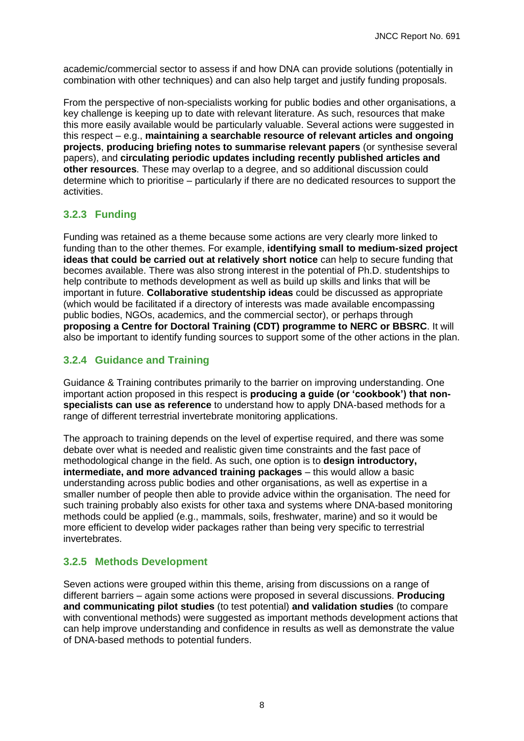academic/commercial sector to assess if and how DNA can provide solutions (potentially in combination with other techniques) and can also help target and justify funding proposals.

From the perspective of non-specialists working for public bodies and other organisations, a key challenge is keeping up to date with relevant literature. As such, resources that make this more easily available would be particularly valuable. Several actions were suggested in this respect – e.g., **maintaining a searchable resource of relevant articles and ongoing projects**, **producing briefing notes to summarise relevant papers** (or synthesise several papers), and **circulating periodic updates including recently published articles and other resources**. These may overlap to a degree, and so additional discussion could determine which to prioritise – particularly if there are no dedicated resources to support the activities.

## <span id="page-11-0"></span>**3.2.3 Funding**

Funding was retained as a theme because some actions are very clearly more linked to funding than to the other themes. For example, **identifying small to medium-sized project ideas that could be carried out at relatively short notice** can help to secure funding that becomes available. There was also strong interest in the potential of Ph.D. studentships to help contribute to methods development as well as build up skills and links that will be important in future. **Collaborative studentship ideas** could be discussed as appropriate (which would be facilitated if a directory of interests was made available encompassing public bodies, NGOs, academics, and the commercial sector), or perhaps through **proposing a Centre for Doctoral Training (CDT) programme to NERC or BBSRC**. It will also be important to identify funding sources to support some of the other actions in the plan.

## <span id="page-11-1"></span>**3.2.4 Guidance and Training**

Guidance & Training contributes primarily to the barrier on improving understanding. One important action proposed in this respect is **producing a guide (or 'cookbook') that nonspecialists can use as reference** to understand how to apply DNA-based methods for a range of different terrestrial invertebrate monitoring applications.

The approach to training depends on the level of expertise required, and there was some debate over what is needed and realistic given time constraints and the fast pace of methodological change in the field. As such, one option is to **design introductory, intermediate, and more advanced training packages** – this would allow a basic understanding across public bodies and other organisations, as well as expertise in a smaller number of people then able to provide advice within the organisation. The need for such training probably also exists for other taxa and systems where DNA-based monitoring methods could be applied (e.g., mammals, soils, freshwater, marine) and so it would be more efficient to develop wider packages rather than being very specific to terrestrial invertebrates.

## <span id="page-11-2"></span>**3.2.5 Methods Development**

Seven actions were grouped within this theme, arising from discussions on a range of different barriers – again some actions were proposed in several discussions. **Producing and communicating pilot studies** (to test potential) **and validation studies** (to compare with conventional methods) were suggested as important methods development actions that can help improve understanding and confidence in results as well as demonstrate the value of DNA-based methods to potential funders.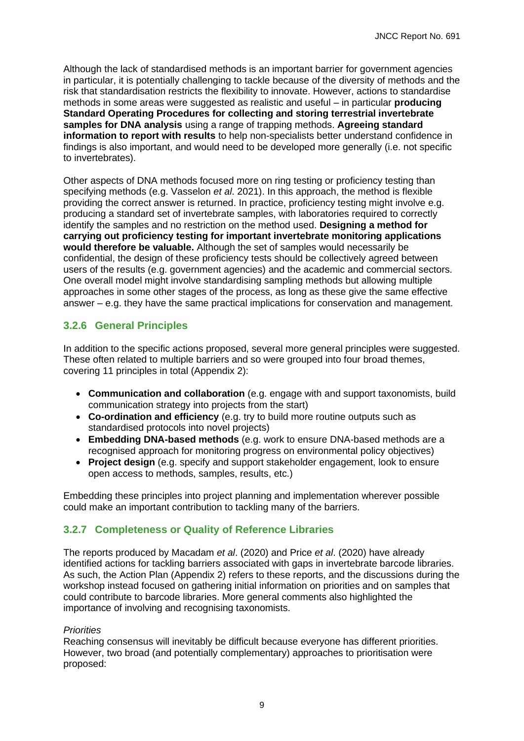Although the lack of standardised methods is an important barrier for government agencies in particular, it is potentially challenging to tackle because of the diversity of methods and the risk that standardisation restricts the flexibility to innovate. However, actions to standardise methods in some areas were suggested as realistic and useful – in particular **producing Standard Operating Procedures for collecting and storing terrestrial invertebrate samples for DNA analysis** using a range of trapping methods. **Agreeing standard information to report with results** to help non-specialists better understand confidence in findings is also important, and would need to be developed more generally (i.e. not specific to invertebrates).

Other aspects of DNA methods focused more on ring testing or proficiency testing than specifying methods (e.g. Vasselon *et al*. 2021). In this approach, the method is flexible providing the correct answer is returned. In practice, proficiency testing might involve e.g. producing a standard set of invertebrate samples, with laboratories required to correctly identify the samples and no restriction on the method used. **Designing a method for carrying out proficiency testing for important invertebrate monitoring applications would therefore be valuable.** Although the set of samples would necessarily be confidential, the design of these proficiency tests should be collectively agreed between users of the results (e.g. government agencies) and the academic and commercial sectors. One overall model might involve standardising sampling methods but allowing multiple approaches in some other stages of the process, as long as these give the same effective answer – e.g. they have the same practical implications for conservation and management.

## <span id="page-12-0"></span>**3.2.6 General Principles**

In addition to the specific actions proposed, several more general principles were suggested. These often related to multiple barriers and so were grouped into four broad themes, covering 11 principles in total (Appendix 2):

- **Communication and collaboration** (e.g. engage with and support taxonomists, build communication strategy into projects from the start)
- **Co-ordination and efficiency** (e.g. try to build more routine outputs such as standardised protocols into novel projects)
- **Embedding DNA-based methods** (e.g. work to ensure DNA-based methods are a recognised approach for monitoring progress on environmental policy objectives)
- **Project design** (e.g. specify and support stakeholder engagement, look to ensure open access to methods, samples, results, etc.)

Embedding these principles into project planning and implementation wherever possible could make an important contribution to tackling many of the barriers.

## <span id="page-12-1"></span>**3.2.7 Completeness or Quality of Reference Libraries**

The reports produced by Macadam *et al*. (2020) and Price *et al*. (2020) have already identified actions for tackling barriers associated with gaps in invertebrate barcode libraries. As such, the Action Plan (Appendix 2) refers to these reports, and the discussions during the workshop instead focused on gathering initial information on priorities and on samples that could contribute to barcode libraries. More general comments also highlighted the importance of involving and recognising taxonomists.

#### *Priorities*

Reaching consensus will inevitably be difficult because everyone has different priorities. However, two broad (and potentially complementary) approaches to prioritisation were proposed: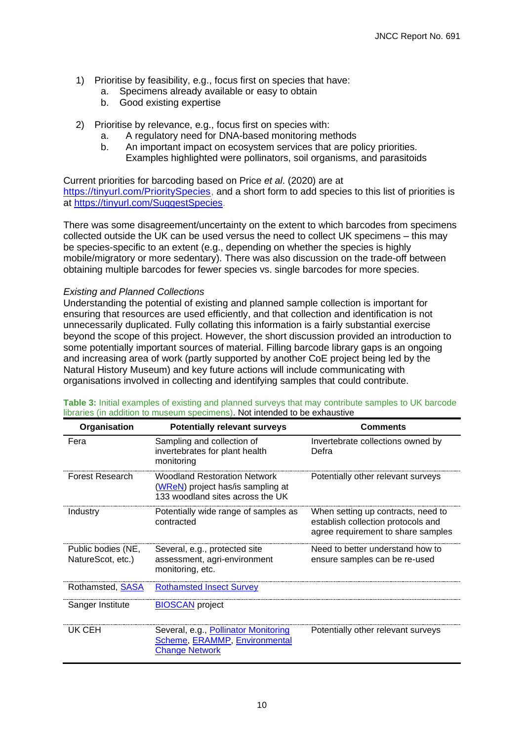- 1) Prioritise by feasibility, e.g., focus first on species that have:
	- a. Specimens already available or easy to obtain
	- b. Good existing expertise
- 2) Prioritise by relevance, e.g., focus first on species with:
	- a. A regulatory need for DNA-based monitoring methods
	- b. An important impact on ecosystem services that are policy priorities.
		- Examples highlighted were pollinators, soil organisms, and parasitoids

Current priorities for barcoding based on Price *et al*. (2020) are at [https://tinyurl.com/PrioritySpecies,](https://www.google.com/url?q=https://tinyurl.com/PrioritySpecies&sa=D&source=editors&ust=1626092152037000&usg=AFQjCNG6sJCgRCevABW7vtqdNCOIfKeTMA) and a short form to add species to this list of priorities is at [https://tinyurl.com/SuggestSpecies.](https://tinyurl.com/SuggestSpecies)

There was some disagreement/uncertainty on the extent to which barcodes from specimens collected outside the UK can be used versus the need to collect UK specimens – this may be species-specific to an extent (e.g., depending on whether the species is highly mobile/migratory or more sedentary). There was also discussion on the trade-off between obtaining multiple barcodes for fewer species vs. single barcodes for more species.

#### *Existing and Planned Collections*

Understanding the potential of existing and planned sample collection is important for ensuring that resources are used efficiently, and that collection and identification is not unnecessarily duplicated. Fully collating this information is a fairly substantial exercise beyond the scope of this project. However, the short discussion provided an introduction to some potentially important sources of material. Filling barcode library gaps is an ongoing and increasing area of work (partly supported by another CoE project being led by the Natural History Museum) and key future actions will include communicating with organisations involved in collecting and identifying samples that could contribute.

| Organisation                            | <b>Potentially relevant surveys</b>                                                                          | <b>Comments</b>                                                                                                |
|-----------------------------------------|--------------------------------------------------------------------------------------------------------------|----------------------------------------------------------------------------------------------------------------|
| Fera                                    | Sampling and collection of<br>invertebrates for plant health<br>monitoring                                   | Invertebrate collections owned by<br>Defra                                                                     |
| <b>Forest Research</b>                  | <b>Woodland Restoration Network</b><br>(WReN) project has/is sampling at<br>133 woodland sites across the UK | Potentially other relevant surveys                                                                             |
| Industry                                | Potentially wide range of samples as<br>contracted                                                           | When setting up contracts, need to<br>establish collection protocols and<br>agree requirement to share samples |
| Public bodies (NE,<br>NatureScot, etc.) | Several, e.g., protected site<br>assessment, agri-environment<br>monitoring, etc.                            | Need to better understand how to<br>ensure samples can be re-used                                              |
| Rothamsted, <b>SASA</b>                 | <b>Rothamsted Insect Survey</b>                                                                              |                                                                                                                |
| Sanger Institute                        | <b>BIOSCAN</b> project                                                                                       |                                                                                                                |
| UK CEH                                  | Several, e.g., Pollinator Monitoring<br>Scheme, ERAMMP, Environmental<br><b>Change Network</b>               | Potentially other relevant surveys                                                                             |

**Table 3:** Initial examples of existing and planned surveys that may contribute samples to UK barcode libraries (in addition to museum specimens). Not intended to be exhaustive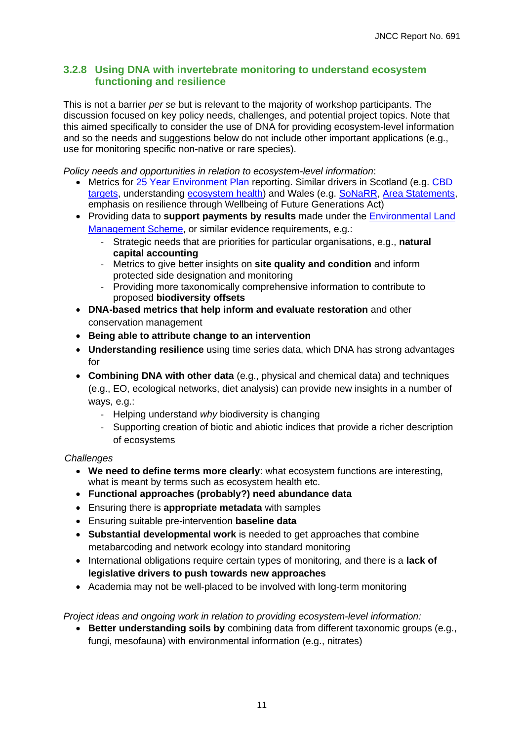#### <span id="page-14-0"></span>**3.2.8 Using DNA with invertebrate monitoring to understand ecosystem functioning and resilience**

This is not a barrier *per se* but is relevant to the majority of workshop participants. The discussion focused on key policy needs, challenges, and potential project topics. Note that this aimed specifically to consider the use of DNA for providing ecosystem-level information and so the needs and suggestions below do not include other important applications (e.g., use for monitoring specific non-native or rare species).

*Policy needs and opportunities in relation to ecosystem-level information*:

- Metrics for [25 Year Environment Plan](https://www.gov.uk/government/publications/25-year-environment-plan) reporting. Similar drivers in Scotland (e.g. CBD) targets, understanding [ecosystem health\)](https://www.environment.gov.scot/our-environment/state-of-the-environment/ecosystem-health-indicators/) and Wales (e.g. [SoNaRR,](https://naturalresources.wales/evidence-and-data/research-and-reports/state-of-natural-resources-interim-report-2019/sonarr-2020/?lang=en) [Area Statem](https://naturalresources.wales/about-us/area-statements/?lang=en)[ents,](https://www.gov.scot/publications/scotlands-biodiversity-route-map-2020/pages/5/) [emphas](https://www.gov.scot/publications/scotlands-biodiversity-route-map-2020/pages/5/)is on resilience through Wellbeing of Future Generations Act)
- Providing data to **support payments by results** made under the Environmental Land Management Scheme, or similar evidence requirements, e.g.:
	- [Strategic needs t](https://www.gov.uk/government/publications/environmental-land-management-schemes-overview/environmental-land-management-scheme-overview)hat are priorities for particular organisations, e.g., **natural capital accounting**
	- Metrics to give better insights on **site quality and condition** and inform protected side designation and monitoring
	- Providing more taxonomically comprehensive information to contribute to proposed **biodiversity offsets**
- **DNA-based metrics that help inform and evaluate restoration** and other conservation management
- **Being able to attribute change to an intervention**
- **Understanding resilience** using time series data, which DNA has strong advantages for
- **Combining DNA with other data** (e.g., physical and chemical data) and techniques (e.g., EO, ecological networks, diet analysis) can provide new insights in a number of ways, e.g.:
	- Helping understand *why* biodiversity is changing
	- Supporting creation of biotic and abiotic indices that provide a richer description of ecosystems

#### *Challenges*

- **We need to define terms more clearly**: what ecosystem functions are interesting, what is meant by terms such as ecosystem health etc.
- **Functional approaches (probably?) need abundance data**
- Ensuring there is **appropriate metadata** with samples
- Ensuring suitable pre-intervention **baseline data**
- **Substantial developmental work** is needed to get approaches that combine metabarcoding and network ecology into standard monitoring
- International obligations require certain types of monitoring, and there is a **lack of legislative drivers to push towards new approaches**
- Academia may not be well-placed to be involved with long-term monitoring

*Project ideas and ongoing work in relation to providing ecosystem-level information:*

• **Better understanding soils by** combining data from different taxonomic groups (e.g., fungi, mesofauna) with environmental information (e.g., nitrates)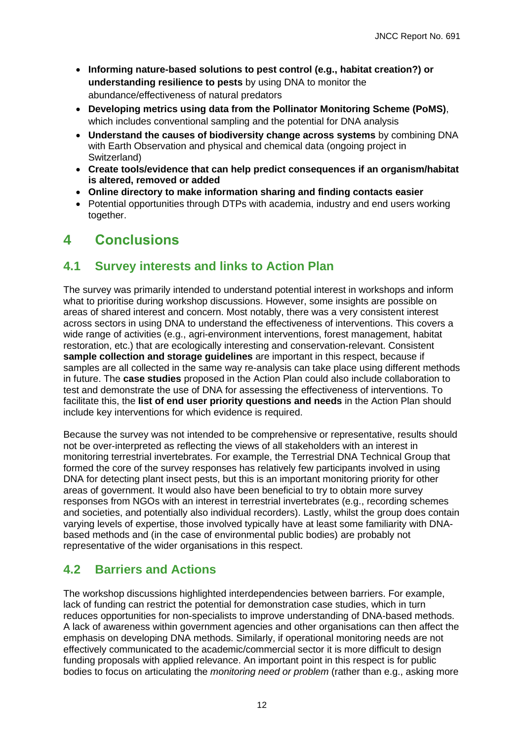- **Informing nature-based solutions to pest control (e.g., habitat creation?) or understanding resilience to pests** by using DNA to monitor the abundance/effectiveness of natural predators
- **Developing metrics using data from the Pollinator Monitoring Scheme (PoMS)**, which includes conventional sampling and the potential for DNA analysis
- **Understand the causes of biodiversity change across systems** by combining DNA with Earth Observation and physical and chemical data (ongoing project in Switzerland)
- **Create tools/evidence that can help predict consequences if an organism/habitat is altered, removed or added**
- **Online directory to make information sharing and finding contacts easier**
- Potential opportunities through DTPs with academia, industry and end users working together.

# <span id="page-15-0"></span>**4 Conclusions**

## <span id="page-15-1"></span>**4.1 Survey interests and links to Action Plan**

The survey was primarily intended to understand potential interest in workshops and inform what to prioritise during workshop discussions. However, some insights are possible on areas of shared interest and concern. Most notably, there was a very consistent interest across sectors in using DNA to understand the effectiveness of interventions. This covers a wide range of activities (e.g., agri-environment interventions, forest management, habitat restoration, etc.) that are ecologically interesting and conservation-relevant. Consistent **sample collection and storage guidelines** are important in this respect, because if samples are all collected in the same way re-analysis can take place using different methods in future. The **case studies** proposed in the Action Plan could also include collaboration to test and demonstrate the use of DNA for assessing the effectiveness of interventions. To facilitate this, the **list of end user priority questions and needs** in the Action Plan should include key interventions for which evidence is required.

Because the survey was not intended to be comprehensive or representative, results should not be over-interpreted as reflecting the views of all stakeholders with an interest in monitoring terrestrial invertebrates. For example, the Terrestrial DNA Technical Group that formed the core of the survey responses has relatively few participants involved in using DNA for detecting plant insect pests, but this is an important monitoring priority for other areas of government. It would also have been beneficial to try to obtain more survey responses from NGOs with an interest in terrestrial invertebrates (e.g., recording schemes and societies, and potentially also individual recorders). Lastly, whilst the group does contain varying levels of expertise, those involved typically have at least some familiarity with DNAbased methods and (in the case of environmental public bodies) are probably not representative of the wider organisations in this respect.

## <span id="page-15-2"></span>**4.2 Barriers and Actions**

The workshop discussions highlighted interdependencies between barriers. For example, lack of funding can restrict the potential for demonstration case studies, which in turn reduces opportunities for non-specialists to improve understanding of DNA-based methods. A lack of awareness within government agencies and other organisations can then affect the emphasis on developing DNA methods. Similarly, if operational monitoring needs are not effectively communicated to the academic/commercial sector it is more difficult to design funding proposals with applied relevance. An important point in this respect is for public bodies to focus on articulating the *monitoring need or problem* (rather than e.g., asking more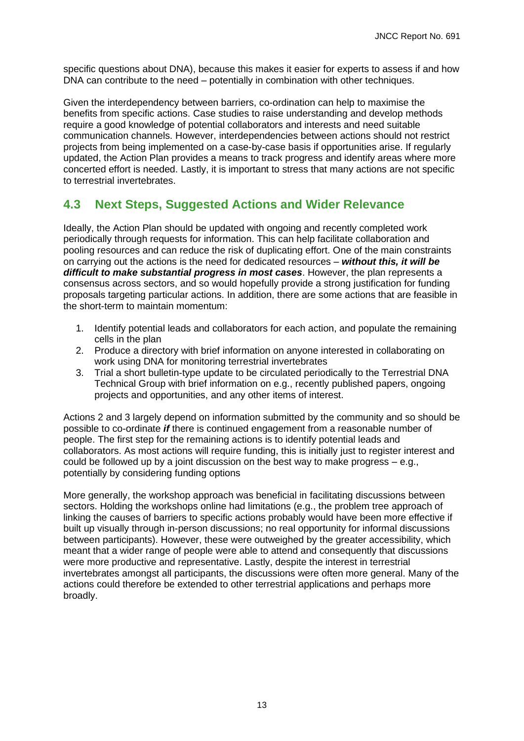specific questions about DNA), because this makes it easier for experts to assess if and how DNA can contribute to the need – potentially in combination with other techniques.

Given the interdependency between barriers, co-ordination can help to maximise the benefits from specific actions. Case studies to raise understanding and develop methods require a good knowledge of potential collaborators and interests and need suitable communication channels. However, interdependencies between actions should not restrict projects from being implemented on a case-by-case basis if opportunities arise. If regularly updated, the Action Plan provides a means to track progress and identify areas where more concerted effort is needed. Lastly, it is important to stress that many actions are not specific to terrestrial invertebrates.

## <span id="page-16-0"></span>**4.3 Next Steps, Suggested Actions and Wider Relevance**

Ideally, the Action Plan should be updated with ongoing and recently completed work periodically through requests for information. This can help facilitate collaboration and pooling resources and can reduce the risk of duplicating effort. One of the main constraints on carrying out the actions is the need for dedicated resources – *without this, it will be difficult to make substantial progress in most cases*. However, the plan represents a consensus across sectors, and so would hopefully provide a strong justification for funding proposals targeting particular actions. In addition, there are some actions that are feasible in the short-term to maintain momentum:

- 1. Identify potential leads and collaborators for each action, and populate the remaining cells in the plan
- 2. Produce a directory with brief information on anyone interested in collaborating on work using DNA for monitoring terrestrial invertebrates
- 3. Trial a short bulletin-type update to be circulated periodically to the Terrestrial DNA Technical Group with brief information on e.g., recently published papers, ongoing projects and opportunities, and any other items of interest.

Actions 2 and 3 largely depend on information submitted by the community and so should be possible to co-ordinate *if* there is continued engagement from a reasonable number of people. The first step for the remaining actions is to identify potential leads and collaborators. As most actions will require funding, this is initially just to register interest and could be followed up by a joint discussion on the best way to make progress  $-$  e.g., potentially by considering funding options

More generally, the workshop approach was beneficial in facilitating discussions between sectors. Holding the workshops online had limitations (e.g., the problem tree approach of linking the causes of barriers to specific actions probably would have been more effective if built up visually through in-person discussions; no real opportunity for informal discussions between participants). However, these were outweighed by the greater accessibility, which meant that a wider range of people were able to attend and consequently that discussions were more productive and representative. Lastly, despite the interest in terrestrial invertebrates amongst all participants, the discussions were often more general. Many of the actions could therefore be extended to other terrestrial applications and perhaps more broadly.